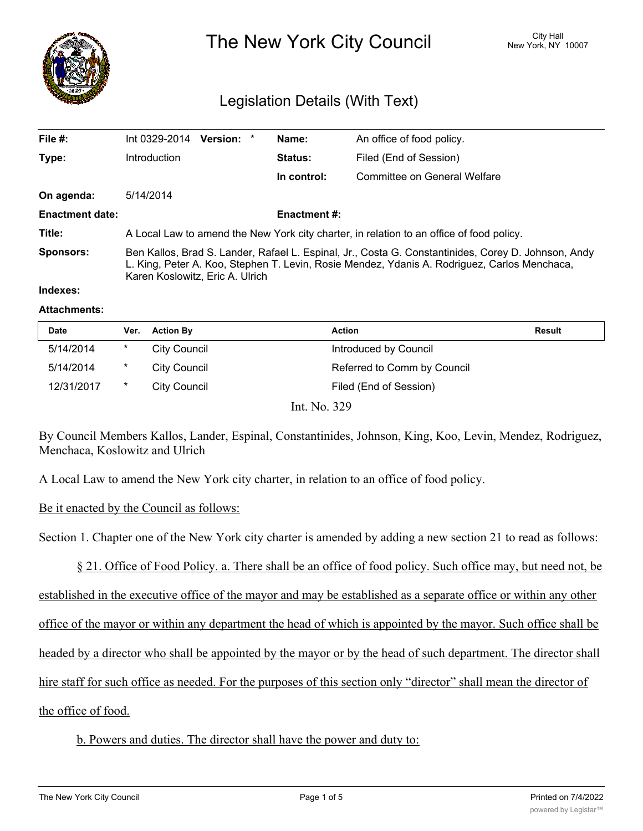

The New York City Council New York, NY 10007

# Legislation Details (With Text)

| File #:                | Version: *<br>Int 0329-2014                                                                                                                                                                                                            | Name:          | An office of food policy.    |  |  |
|------------------------|----------------------------------------------------------------------------------------------------------------------------------------------------------------------------------------------------------------------------------------|----------------|------------------------------|--|--|
| Type:                  | Introduction                                                                                                                                                                                                                           | <b>Status:</b> | Filed (End of Session)       |  |  |
|                        |                                                                                                                                                                                                                                        | In control:    | Committee on General Welfare |  |  |
| On agenda:             | 5/14/2014                                                                                                                                                                                                                              |                |                              |  |  |
| <b>Enactment date:</b> | <b>Enactment #:</b>                                                                                                                                                                                                                    |                |                              |  |  |
| Title:                 | A Local Law to amend the New York city charter, in relation to an office of food policy.                                                                                                                                               |                |                              |  |  |
| <b>Sponsors:</b>       | Ben Kallos, Brad S. Lander, Rafael L. Espinal, Jr., Costa G. Constantinides, Corey D. Johnson, Andy<br>L. King, Peter A. Koo, Stephen T. Levin, Rosie Mendez, Ydanis A. Rodriguez, Carlos Menchaca,<br>Karen Koslowitz, Eric A. Ulrich |                |                              |  |  |

#### **Indexes:**

#### **Attachments:**

| <b>Date</b> | Ver.    | <b>Action By</b> | Action                           | Result |
|-------------|---------|------------------|----------------------------------|--------|
| 5/14/2014   | $^\ast$ | City Council     | Introduced by Council            |        |
| 5/14/2014   | $\ast$  | City Council     | Referred to Comm by Council      |        |
| 12/31/2017  | $\ast$  | City Council     | Filed (End of Session)           |        |
|             |         | T. XT            | $\mathbf{a}\mathbf{a}\mathbf{a}$ |        |

Int. No. 329

By Council Members Kallos, Lander, Espinal, Constantinides, Johnson, King, Koo, Levin, Mendez, Rodriguez, Menchaca, Koslowitz and Ulrich

A Local Law to amend the New York city charter, in relation to an office of food policy.

### Be it enacted by the Council as follows:

Section 1. Chapter one of the New York city charter is amended by adding a new section 21 to read as follows:

§ 21. Office of Food Policy. a. There shall be an office of food policy. Such office may, but need not, be established in the executive office of the mayor and may be established as a separate office or within any other

office of the mayor or within any department the head of which is appointed by the mayor. Such office shall be

headed by a director who shall be appointed by the mayor or by the head of such department. The director shall

hire staff for such office as needed. For the purposes of this section only "director" shall mean the director of

## the office of food.

## b. Powers and duties. The director shall have the power and duty to: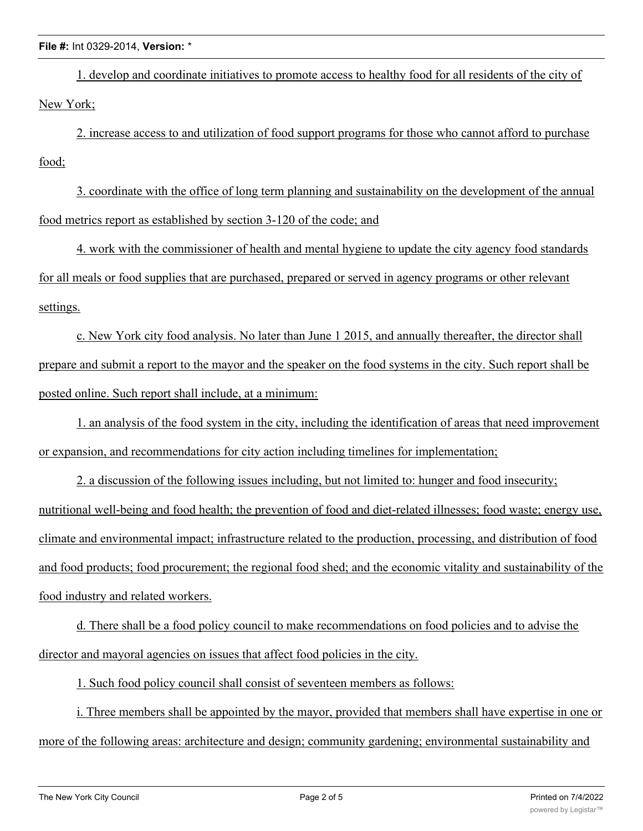#### **File #:** Int 0329-2014, **Version:** \*

1. develop and coordinate initiatives to promote access to healthy food for all residents of the city of New York;

2. increase access to and utilization of food support programs for those who cannot afford to purchase food;

3. coordinate with the office of long term planning and sustainability on the development of the annual food metrics report as established by section 3-120 of the code; and

4. work with the commissioner of health and mental hygiene to update the city agency food standards for all meals or food supplies that are purchased, prepared or served in agency programs or other relevant settings.

c. New York city food analysis. No later than June 1 2015, and annually thereafter, the director shall prepare and submit a report to the mayor and the speaker on the food systems in the city. Such report shall be posted online. Such report shall include, at a minimum:

1. an analysis of the food system in the city, including the identification of areas that need improvement or expansion, and recommendations for city action including timelines for implementation;

2. a discussion of the following issues including, but not limited to: hunger and food insecurity; nutritional well-being and food health; the prevention of food and diet-related illnesses; food waste; energy use, climate and environmental impact; infrastructure related to the production, processing, and distribution of food and food products; food procurement; the regional food shed; and the economic vitality and sustainability of the food industry and related workers.

d. There shall be a food policy council to make recommendations on food policies and to advise the director and mayoral agencies on issues that affect food policies in the city.

1. Such food policy council shall consist of seventeen members as follows:

i. Three members shall be appointed by the mayor, provided that members shall have expertise in one or more of the following areas: architecture and design; community gardening; environmental sustainability and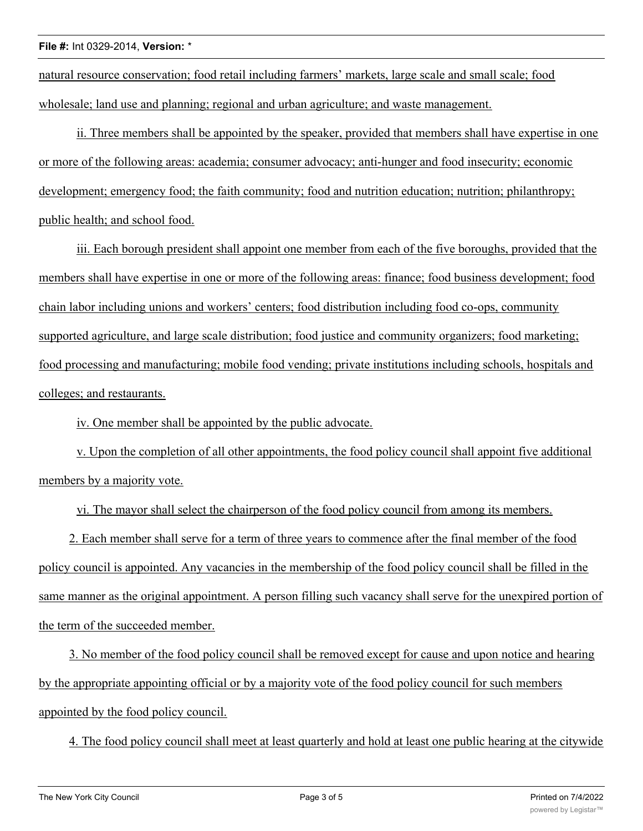natural resource conservation; food retail including farmers' markets, large scale and small scale; food wholesale; land use and planning; regional and urban agriculture; and waste management.

ii. Three members shall be appointed by the speaker, provided that members shall have expertise in one or more of the following areas: academia; consumer advocacy; anti-hunger and food insecurity; economic development; emergency food; the faith community; food and nutrition education; nutrition; philanthropy; public health; and school food.

iii. Each borough president shall appoint one member from each of the five boroughs, provided that the members shall have expertise in one or more of the following areas: finance; food business development; food chain labor including unions and workers' centers; food distribution including food co-ops, community supported agriculture, and large scale distribution; food justice and community organizers; food marketing; food processing and manufacturing; mobile food vending; private institutions including schools, hospitals and colleges; and restaurants.

iv. One member shall be appointed by the public advocate.

v. Upon the completion of all other appointments, the food policy council shall appoint five additional members by a majority vote.

vi. The mayor shall select the chairperson of the food policy council from among its members.

2. Each member shall serve for a term of three years to commence after the final member of the food policy council is appointed. Any vacancies in the membership of the food policy council shall be filled in the same manner as the original appointment. A person filling such vacancy shall serve for the unexpired portion of the term of the succeeded member.

3. No member of the food policy council shall be removed except for cause and upon notice and hearing by the appropriate appointing official or by a majority vote of the food policy council for such members appointed by the food policy council.

4. The food policy council shall meet at least quarterly and hold at least one public hearing at the citywide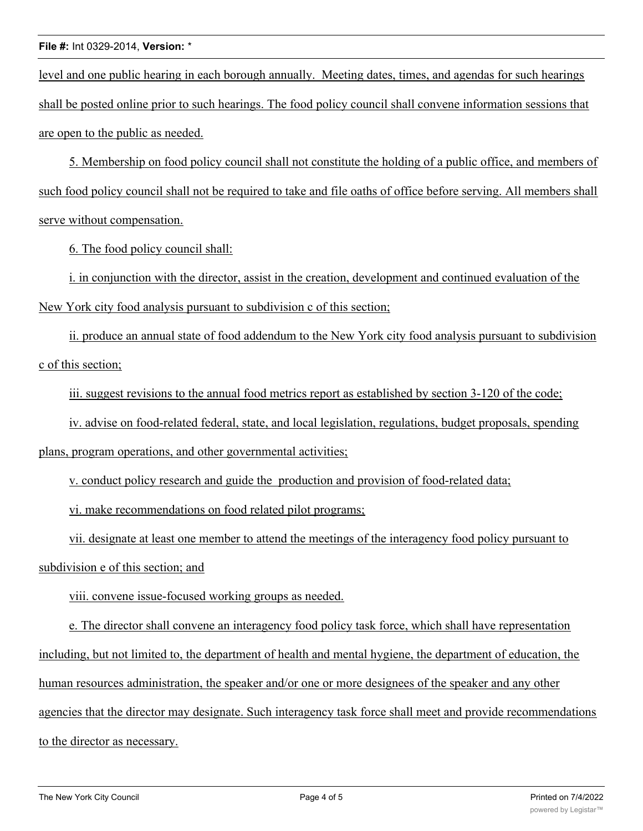#### **File #:** Int 0329-2014, **Version:** \*

level and one public hearing in each borough annually. Meeting dates, times, and agendas for such hearings shall be posted online prior to such hearings. The food policy council shall convene information sessions that are open to the public as needed.

5. Membership on food policy council shall not constitute the holding of a public office, and members of such food policy council shall not be required to take and file oaths of office before serving. All members shall serve without compensation.

6. The food policy council shall:

i. in conjunction with the director, assist in the creation, development and continued evaluation of the New York city food analysis pursuant to subdivision c of this section;

ii. produce an annual state of food addendum to the New York city food analysis pursuant to subdivision c of this section;

iii. suggest revisions to the annual food metrics report as established by section 3-120 of the code;

iv. advise on food-related federal, state, and local legislation, regulations, budget proposals, spending

plans, program operations, and other governmental activities;

v. conduct policy research and guide the production and provision of food-related data;

vi. make recommendations on food related pilot programs;

vii. designate at least one member to attend the meetings of the interagency food policy pursuant to subdivision e of this section; and

viii. convene issue-focused working groups as needed.

e. The director shall convene an interagency food policy task force, which shall have representation including, but not limited to, the department of health and mental hygiene, the department of education, the human resources administration, the speaker and/or one or more designees of the speaker and any other agencies that the director may designate. Such interagency task force shall meet and provide recommendations to the director as necessary.